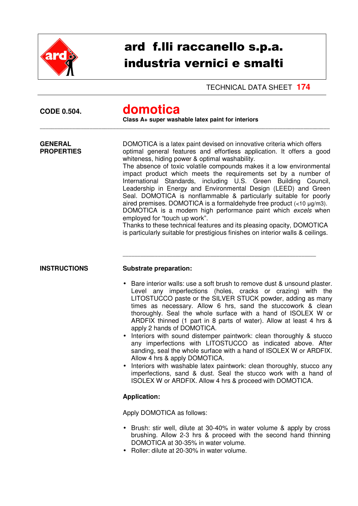

## ard f.lli raccanello s.p.a. industria vernici e smalti

TECHNICAL DATA SHEET **174** 

| <b>CODE 0.504.</b>                  | domotica<br>Class A+ super washable latex paint for interiors                                                                                                                                                                                                                                                                                                                                                                                                                                                                                                                                                                                                                                                                                                                                                                                                                                      |  |  |
|-------------------------------------|----------------------------------------------------------------------------------------------------------------------------------------------------------------------------------------------------------------------------------------------------------------------------------------------------------------------------------------------------------------------------------------------------------------------------------------------------------------------------------------------------------------------------------------------------------------------------------------------------------------------------------------------------------------------------------------------------------------------------------------------------------------------------------------------------------------------------------------------------------------------------------------------------|--|--|
| <b>GENERAL</b><br><b>PROPERTIES</b> | DOMOTICA is a latex paint devised on innovative criteria which offers<br>optimal general features and effortless application. It offers a good<br>whiteness, hiding power & optimal washability.<br>The absence of toxic volatile compounds makes it a low environmental<br>impact product which meets the requirements set by a number of<br>International Standards, including U.S. Green Building Council,<br>Leadership in Energy and Environmental Design (LEED) and Green<br>Seal. DOMOTICA is nonflammable & particularly suitable for poorly<br>aired premises. DOMOTICA is a formaldehyde free product $\left($ <10 µg/m3).<br>DOMOTICA is a modern high performance paint which excels when<br>employed for "touch up work".<br>Thanks to these technical features and its pleasing opacity, DOMOTICA<br>is particularly suitable for prestigious finishes on interior walls & ceilings. |  |  |
| <b>INSTRUCTIONS</b>                 | <b>Substrate preparation:</b><br>Bare interior walls: use a soft brush to remove dust & unsound plaster.                                                                                                                                                                                                                                                                                                                                                                                                                                                                                                                                                                                                                                                                                                                                                                                           |  |  |
|                                     | Level any imperfections (holes, cracks or crazing) with the<br>LITOSTUCCO paste or the SILVER STUCK powder, adding as many<br>times as necessary. Allow 6 hrs, sand the stuccowork & clean<br>thoroughly. Seal the whole surface with a hand of ISOLEX W or<br>ARDFIX thinned (1 part in 8 parts of water). Allow at least 4 hrs &<br>apply 2 hands of DOMOTICA.                                                                                                                                                                                                                                                                                                                                                                                                                                                                                                                                   |  |  |
|                                     | Interiors with sound distemper paintwork: clean thoroughly & stucco<br>any imperfections with LITOSTUCCO as indicated above. After<br>sanding, seal the whole surface with a hand of ISOLEX W or ARDFIX.<br>Allow 4 hrs & apply DOMOTICA.                                                                                                                                                                                                                                                                                                                                                                                                                                                                                                                                                                                                                                                          |  |  |
|                                     | Interiors with washable latex paintwork: clean thoroughly, stucco any<br>imperfections, sand & dust. Seal the stucco work with a hand of<br>ISOLEX W or ARDFIX. Allow 4 hrs & proceed with DOMOTICA.                                                                                                                                                                                                                                                                                                                                                                                                                                                                                                                                                                                                                                                                                               |  |  |
|                                     | <b>Application:</b>                                                                                                                                                                                                                                                                                                                                                                                                                                                                                                                                                                                                                                                                                                                                                                                                                                                                                |  |  |
|                                     | Apply DOMOTICA as follows:                                                                                                                                                                                                                                                                                                                                                                                                                                                                                                                                                                                                                                                                                                                                                                                                                                                                         |  |  |
|                                     | • Brush: stir well, dilute at 30-40% in water volume & apply by cross<br>brushing. Allow 2-3 hrs & proceed with the second hand thinning<br>DOMOTICA at 30-35% in water volume.<br>Beller: dilute at 20,200/ in water volume                                                                                                                                                                                                                                                                                                                                                                                                                                                                                                                                                                                                                                                                       |  |  |

• Roller: dilute at 20-30% in water volume.